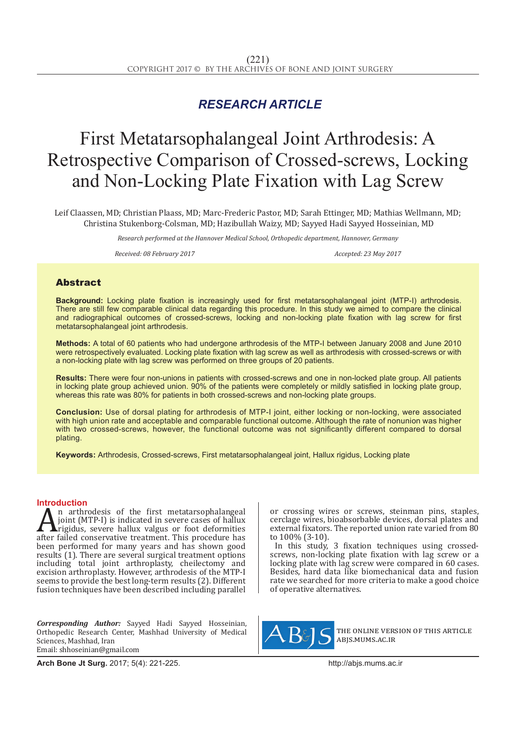## *RESEARCH ARTICLE*

# First Metatarsophalangeal Joint Arthrodesis: A Retrospective Comparison of Crossed-screws, Locking and Non-Locking Plate Fixation with Lag Screw

Leif Claassen, MD; Christian Plaass, MD; Marc-Frederic Pastor, MD; Sarah Ettinger, MD; Mathias Wellmann, MD; Christina Stukenborg-Colsman, MD; Hazibullah Waizy, MD; Sayyed Hadi Sayyed Hosseinian, MD

*Research performed at the Hannover Medical School, Orthopedic department, Hannover, Germany*

*Received: 08 February 2017 Accepted: 23 May 2017*

### Abstract

**Background:** Locking plate fixation is increasingly used for first metatarsophalangeal joint (MTP-I) arthrodesis. There are still few comparable clinical data regarding this procedure. In this study we aimed to compare the clinical and radiographical outcomes of crossed-screws, locking and non-locking plate fixation with lag screw for first metatarsophalangeal joint arthrodesis.

**Methods:** A total of 60 patients who had undergone arthrodesis of the MTP-I between January 2008 and June 2010 were retrospectively evaluated. Locking plate fixation with lag screw as well as arthrodesis with crossed-screws or with a non-locking plate with lag screw was performed on three groups of 20 patients.

**Results:** There were four non-unions in patients with crossed-screws and one in non-locked plate group. All patients in locking plate group achieved union. 90% of the patients were completely or mildly satisfied in locking plate group, whereas this rate was 80% for patients in both crossed-screws and non-locking plate groups.

**Conclusion:** Use of dorsal plating for arthrodesis of MTP-I joint, either locking or non-locking, were associated with high union rate and acceptable and comparable functional outcome. Although the rate of nonunion was higher with two crossed-screws, however, the functional outcome was not significantly different compared to dorsal plating.

**Keywords:** Arthrodesis, Crossed-screws, First metatarsophalangeal joint, Hallux rigidus, Locking plate

**Introduction**<br>**A** n arthrodesis of the first metatarsophalangeal  $\sum_{\text{point}}^{\text{n}}$  arthrodesis of the first metatarsophalangeal<br>point (MTP-I) is indicated in severe cases of hallux<br>rigidus, severe hallux valgus or foot deformities<br>after failed conservative treatment. This procedure has<br>h joint (MTP-I) is indicated in severe cases of hallux rigidus, severe hallux valgus or foot deformities after failed conservative treatment. This procedure has been performed for many years and has shown good results (1). There are several surgical treatment options including total joint arthroplasty, cheilectomy and excision arthroplasty. However, arthrodesis of the MTP-I seems to provide the best long-term results (2). Different fusion techniques have been described including parallel

*Corresponding Author:* Sayyed Hadi Sayyed Hosseinian, Orthopedic Research Center, Mashhad University of Medical Sciences, Mashhad, Iran Email: shhoseinian@gmail.com

or crossing wires or screws, steinman pins, staples, cerclage wires, bioabsorbable devices, dorsal plates and external fixators. The reported union rate varied from 80 to 100% (3-10).

In this study, 3 fixation techniques using crossedscrews, non-locking plate fixation with lag screw or a locking plate with lag screw were compared in 60 cases. Besides, hard data like biomechanical data and fusion rate we searched for more criteria to make a good choice of operative alternatives.



the online version of this article abjs.mums.ac.ir

**Arch Bone Jt Surg.** 2017; 5(4): 221-225.http://abjs.mums.ac.ir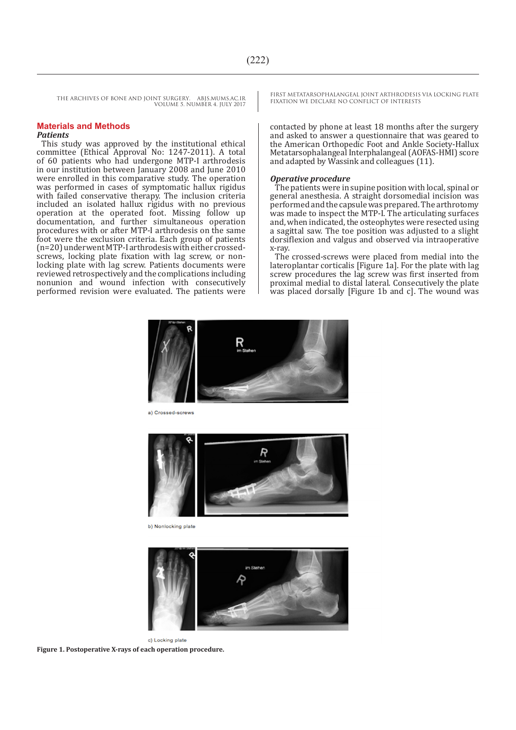#### **Materials and Methods** *Patients*

This study was approved by the institutional ethical committee (Ethical Approval No: 1247-2011). A total of 60 patients who had undergone MTP-I arthrodesis in our institution between January 2008 and June 2010 were enrolled in this comparative study. The operation was performed in cases of symptomatic hallux rigidus with failed conservative therapy. The inclusion criteria included an isolated hallux rigidus with no previous operation at the operated foot. Missing follow up documentation, and further simultaneous operation procedures with or after MTP-I arthrodesis on the same foot were the exclusion criteria. Each group of patients (n=20) underwent MTP-I arthrodesis with either crossedscrews, locking plate fixation with lag screw, or nonlocking plate with lag screw. Patients documents were reviewed retrospectively and the complications including nonunion and wound infection with consecutively performed revision were evaluated. The patients were FIRST METATARSOPHALANGEAL JOINT ARTHRODESIS VIA LOCKING PLATE

contacted by phone at least 18 months after the surgery and asked to answer a questionnaire that was geared to the American Orthopedic Foot and Ankle Society-Hallux Metatarsophalangeal Interphalangeal (AOFAS-HMI) score and adapted by Wassink and colleagues (11).

#### *Operative procedure*

The patients were in supine position with local, spinal or general anesthesia. A straight dorsomedial incision was performed and the capsule was prepared. The arthrotomy was made to inspect the MTP-I. The articulating surfaces and, when indicated, the osteophytes were resected using a sagittal saw. The toe position was adjusted to a slight dorsiflexion and valgus and observed via intraoperative x-ray.

The crossed-screws were placed from medial into the lateroplantar corticalis [Figure 1a]. For the plate with lag screw procedures the lag screw was first inserted from proximal medial to distal lateral. Consecutively the plate was placed dorsally [Figure 1b and c]. The wound was



a) Crossed-screws



b) Nonlocking plate



c) Locking plate **Figure 1. Postoperative X-rays of each operation procedure.**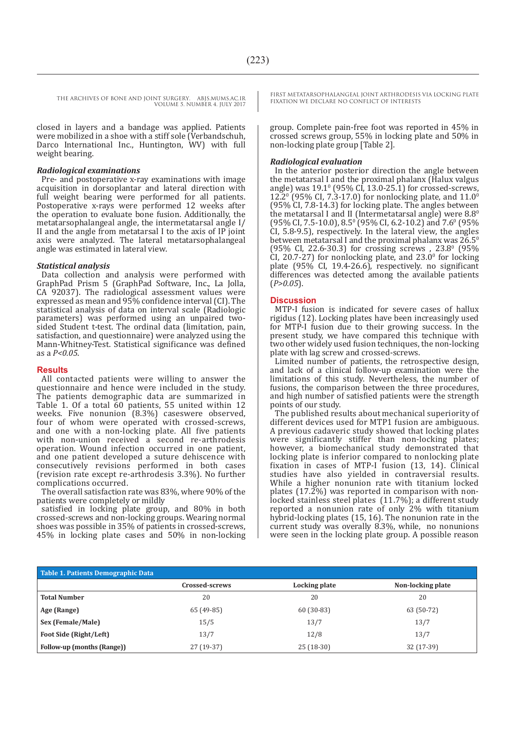closed in layers and a bandage was applied. Patients were mobilized in a shoe with a stiff sole (Verbandschuh, Darco International Inc., Huntington, WV) with full weight bearing.

#### *Radiological examinations*

Pre- and postoperative x-ray examinations with image acquisition in dorsoplantar and lateral direction with full weight bearing were performed for all patients. Postoperative x-rays were performed 12 weeks after the operation to evaluate bone fusion. Additionally, the metatarsophalangeal angle, the intermetatarsal angle I/ II and the angle from metatarsal I to the axis of IP joint axis were analyzed. The lateral metatarsophalangeal angle was estimated in lateral view.

#### *Statistical analysis*

Data collection and analysis were performed with GraphPad Prism 5 (GraphPad Software, Inc., La Jolla, CA 92037). The radiological assessment values were expressed as mean and 95% confidence interval (CI). The statistical analysis of data on interval scale (Radiologic parameters) was performed using an unpaired twosided Student t-test. The ordinal data (limitation, pain, satisfaction, and questionnaire) were analyzed using the Mann-Whitney-Test. Statistical significance was defined as a *P<0.05*.

#### **Results**

All contacted patients were willing to answer the questionnaire and hence were included in the study. The patients demographic data are summarized in Table 1. Of a total 60 patients, 55 united within 12 weeks. Five nonunion (8.3%) caseswere observed, four of whom were operated with crossed-screws, and one with a non-locking plate. All five patients with non-union received a second re-arthrodesis operation. Wound infection occurred in one patient, and one patient developed a suture dehiscence with consecutively revisions performed in both cases (revision rate except re-arthrodesis 3.3%). No further complications occurred.

The overall satisfaction rate was 83%, where 90% of the patients were completely or mildly

satisfied in locking plate group, and 80% in both crossed-screws and non-locking groups. Wearing normal shoes was possible in 35% of patients in crossed-screws, 45% in locking plate cases and 50% in non-locking FIRST METATARSOPHALANGEAL JOINT ARTHRODESIS VIA LOCKING PLATE

group. Complete pain-free foot was reported in 45% in crossed screws group, 55% in locking plate and 50% in non-locking plate group [Table 2].

#### *Radiological evaluation*

In the anterior posterior direction the angle between the metatarsal I and the proximal phalanx (Halux valgus angle) was  $19.1^{\circ}$  (95% CI, 13.0-25.1) for crossed-screws, 12.2<sup>0</sup> (95% CI, 7.3-17.0) for nonlocking plate, and  $11.0^{\circ}$ (95% CI, 7.8-14.3) for locking plate. The angles between the metatarsal I and II (Intermetatarsal angle) were  $8.8^\circ$  $(95\% \text{ CI}, 7.5-10.0), 8.5^{\circ}$  (95% CI, 6.2-10.2) and 7.6<sup>o</sup> (95%) CI, 5.8-9.5), respectively. In the lateral view, the angles between metatarsal I and the proximal phalanx was  $26.5^{\circ}$  $(95\% \text{ CI}, 22.6-30.3)$  for crossing screws ,  $23.8^{\circ}$  (95%) CI, 20.7-27) for nonlocking plate, and  $23.0^\circ$  for locking plate (95% CI, 19.4-26.6), respectively. no significant differences was detected among the available patients (*P>0.05*).

#### **Discussion**

MTP-I fusion is indicated for severe cases of hallux rigidus (12). Locking plates have been increasingly used for MTP-I fusion due to their growing success. In the present study, we have compared this technique with two other widely used fusion techniques, the non-locking plate with lag screw and crossed-screws.

Limited number of patients, the retrospective design, and lack of a clinical follow-up examination were the limitations of this study. Nevertheless, the number of fusions, the comparison between the three procedures, and high number of satisfied patients were the strength points of our study.

The published results about mechanical superiority of different devices used for MTP1 fusion are ambiguous. A previous cadaveric study showed that locking plates were significantly stiffer than non-locking plates; however, a biomechanical study demonstrated that locking plate is inferior compared to nonlocking plate fixation in cases of MTP-I fusion (13, 14). Clinical studies have also yielded in contraversial results. While a higher nonunion rate with titanium locked plates (17.2%) was reported in comparison with nonlocked stainless steel plates (11.7%); a different study reported a nonunion rate of only 2% with titanium hybrid-locking plates (15, 16). The nonunion rate in the current study was overally 8.3%, while, no nonunions were seen in the locking plate group. A possible reason

| Table 1. Patients Demographic Data |                |               |                   |  |  |  |
|------------------------------------|----------------|---------------|-------------------|--|--|--|
|                                    | Crossed-screws | Locking plate | Non-locking plate |  |  |  |
| <b>Total Number</b>                | 20             | 20            | 20                |  |  |  |
| Age (Range)                        | 65 (49-85)     | $60(30-83)$   | 63 (50-72)        |  |  |  |
| Sex (Female/Male)                  | 15/5           | 13/7          | 13/7              |  |  |  |
| <b>Foot Side (Right/Left)</b>      | 13/7           | 12/8          | 13/7              |  |  |  |
| Follow-up (months (Range))         | 27 (19-37)     | $25(18-30)$   | 32 (17-39)        |  |  |  |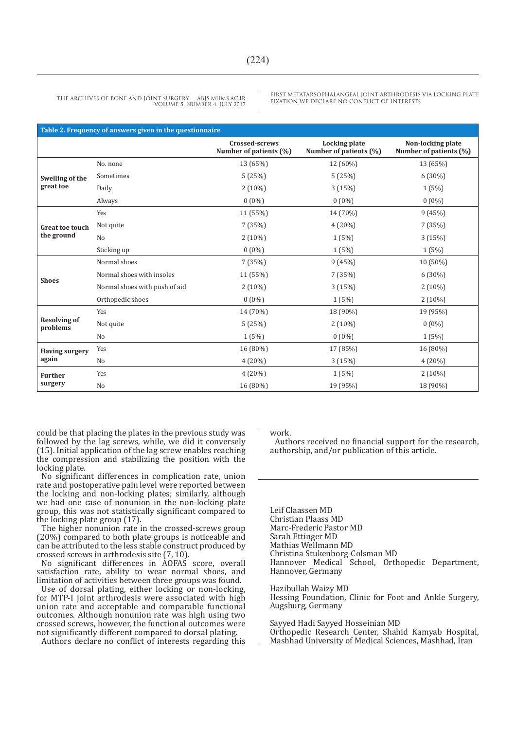FIRST METATARSOPHALANGEAL JOINT ARTHRODESIS VIA LOCKING PLATE

| Table 2. Frequency of answers given in the questionnaire |                               |                                          |                                                |                                             |  |  |
|----------------------------------------------------------|-------------------------------|------------------------------------------|------------------------------------------------|---------------------------------------------|--|--|
|                                                          |                               | Crossed-screws<br>Number of patients (%) | <b>Locking plate</b><br>Number of patients (%) | Non-locking plate<br>Number of patients (%) |  |  |
| Swelling of the<br>great toe                             | No. none                      | 13 (65%)                                 | 12 (60%)                                       | 13 (65%)                                    |  |  |
|                                                          | Sometimes                     | 5(25%)                                   | 5(25%)                                         | $6(30\%)$                                   |  |  |
|                                                          | Daily                         | $2(10\%)$                                | 3(15%)                                         | 1(5%)                                       |  |  |
|                                                          | Always                        | $0(0\%)$                                 | $0(0\%)$                                       | $0(0\%)$                                    |  |  |
| <b>Great toe touch</b><br>the ground                     | Yes                           | 11 (55%)                                 | 14 (70%)                                       | 9(45%)                                      |  |  |
|                                                          | Not quite                     | 7(35%)                                   | 4 (20%)                                        | 7 (35%)                                     |  |  |
|                                                          | N <sub>0</sub>                | $2(10\%)$                                | 1(5%)                                          | 3(15%)                                      |  |  |
|                                                          | Sticking up                   | $0(0\%)$                                 | 1(5%)                                          | 1(5%)                                       |  |  |
| <b>Shoes</b>                                             | Normal shoes                  | 7(35%)                                   | 9(45%)                                         | 10 (50%)                                    |  |  |
|                                                          | Normal shoes with insoles     | 11 (55%)                                 | 7(35%)                                         | 6 (30%)                                     |  |  |
|                                                          | Normal shoes with push of aid | $2(10\%)$                                | 3(15%)                                         | $2(10\%)$                                   |  |  |
|                                                          | Orthopedic shoes              | $0(0\%)$                                 | 1(5%)                                          | $2(10\%)$                                   |  |  |
| <b>Resolving of</b><br>problems                          | Yes                           | 14 (70%)                                 | 18 (90%)                                       | 19 (95%)                                    |  |  |
|                                                          | Not quite                     | 5(25%)                                   | $2(10\%)$                                      | $0(0\%)$                                    |  |  |
|                                                          | No                            | 1(5%)                                    | $0(0\%)$                                       | 1(5%)                                       |  |  |
| <b>Having surgery</b><br>again                           | Yes                           | 16 (80%)                                 | 17 (85%)                                       | 16 (80%)                                    |  |  |
|                                                          | No                            | 4(20%)                                   | 3(15%)                                         | 4(20%)                                      |  |  |
| <b>Further</b><br>surgery                                | Yes                           | 4(20%)                                   | 1(5%)                                          | $2(10\%)$                                   |  |  |
|                                                          | No                            | 16 (80%)                                 | 19 (95%)                                       | 18 (90%)                                    |  |  |

could be that placing the plates in the previous study was followed by the lag screws, while, we did it conversely (15). Initial application of the lag screw enables reaching the compression and stabilizing the position with the locking plate.

No significant differences in complication rate, union rate and postoperative pain level were reported between the locking and non-locking plates; similarly, although we had one case of nonunion in the non-locking plate group, this was not statistically significant compared to the locking plate group (17).

The higher nonunion rate in the crossed-screws group (20%) compared to both plate groups is noticeable and can be attributed to the less stable construct produced by crossed screws in arthrodesis site (7, 10).

No significant differences in AOFAS score, overall satisfaction rate, ability to wear normal shoes, and limitation of activities between three groups was found.

Use of dorsal plating, either locking or non-locking, for MTP-I joint arthrodesis were associated with high union rate and acceptable and comparable functional outcomes. Although nonunion rate was high using two crossed screws, however, the functional outcomes were not significantly different compared to dorsal plating.

Authors declare no conflict of interests regarding this

work.

Authors received no financial support for the research, authorship, and/or publication of this article.

Leif Claassen MD Christian Plaass MD Marc-Frederic Pastor MD Sarah Ettinger MD Mathias Wellmann MD Christina Stukenborg-Colsman MD Hannover Medical School, Orthopedic Department, Hannover, Germany

Hazibullah Waizy MD Hessing Foundation, Clinic for Foot and Ankle Surgery, Augsburg, Germany

Sayyed Hadi Sayyed Hosseinian MD Orthopedic Research Center, Shahid Kamyab Hospital, Mashhad University of Medical Sciences, Mashhad, Iran